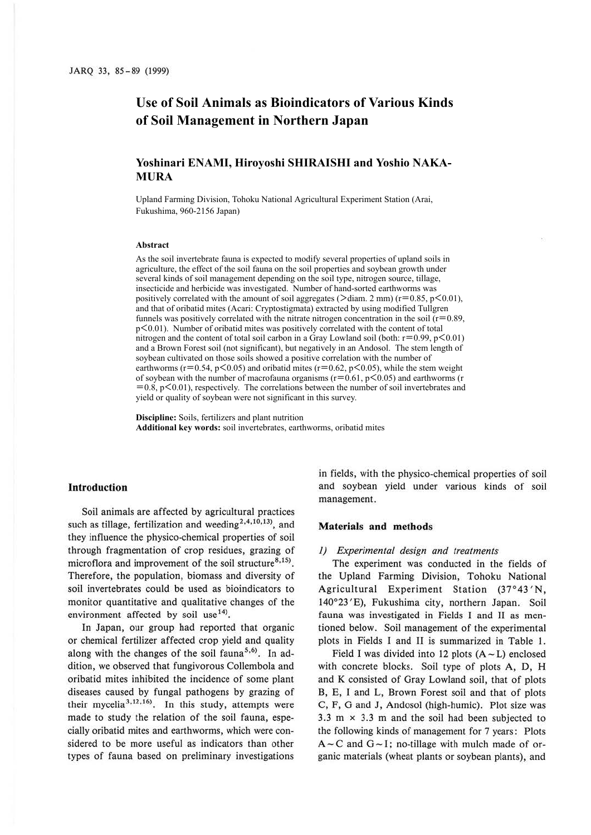# **Use of Soil Animals as Bioindicators of Various Kinds of Soil Management in Northern Japan**

# **Yoshinari ENAMI, Hiroyoshi SHIRAISHI and Yoshio NAKA-MURA**

Upland Farming Division, Tohoku National Agricultural Experiment Station (Arai, Fukushima, 960-2156 Japan)

#### **Abstract**

As the soil invertebrate fauna is expected to modify several properties of upland soils in agriculture, the effect of the soil fauna on the soil properties and soybean growth under several kinds of soil management depending on the soil type, nitrogen source, tillage, insecticide and herbicide was investigated. Number of hand-sorted earthworms was positively correlated with the amount of soil aggregates ( $\ge$ diam. 2 mm) (r=0.85, p<0.01), and that of oribatid mites (Acari: Cryptostigmata) extracted by using modified Tullgren funnels was positively correlated with the nitrate nitrogen concentration in the soil ( $r=0.89$ , p<0.01). Number of oribatid mites was positively correlated with the content of total nitrogen and the content of total soil carbon in a Gray Lowland soil (both:  $r=0.99$ ,  $p<0.01$ ) and a Brown Forest soil (not significant), but negatively in an Andosol. The stem length of soybean cultivated on those soils showed a positive correlation with the number of earthworms ( $r=0.54$ ,  $p<0.05$ ) and oribatid mites ( $r=0.62$ ,  $p<0.05$ ), while the stem weight of soybean with the number of macrofauna organisms ( $r=0.61$ ,  $p<0.05$ ) and earthworms (r  $=0.8$ , p $<$ 0.01), respectively. The correlations between the number of soil invertebrates and yield or quality of soybean were not significant in this survey.

**Discipline:** Soils, fertilizers and plant nutrition **Additional key words:** soil invertebrates, earthworms, oribatid mites

## **Introduction**

Soil animals are affected by agricultural practices such as tillage, fertilization and weeding<sup>2,4,10,13</sup>, and they influence the physico-chemical properties of soil through fragmentation of crop residues, grazing of microflora and improvement of the soil structure<sup>8,15)</sup>. Therefore, the population, biomass and diversity of soil invertebrates could be used as bioindicators to monitor quantitative and qualitative changes of the environment affected by soil use  $14$ <sup>14</sup>).

In Japan, our group had reported that organic or chemical fertilizer affected crop yield and quality along with the changes of the soil fauna<sup>5,6)</sup>. In addition, we observed that fungivorous Collembola and oribatid mites inhibited the incidence of some plant diseases caused by fungal pathogens by grazing of their mycelia<sup>3,12,16</sup>). In this study, attempts were made to study the relation of the soil fauna, especially oribatid mites and earthworms, which were considered to be more useful as indicators than other types of fauna based on preliminary investigations

in fields, with the physico-chemical properties of soil and soybean yield under various kinds of soil management.

### **Materials and methods**

#### *1) Experimental design and treatments*

The experiment was conducted in the fields of the Upland Farming Division, Tohoku National Agricultural Experiment Station (37°43 'N, 140°23'E), Fukushima city, northern Japan. Soil fauna was investigated in Fields I and II as mentioned below. Soil management of the experimental plots in Fields I and II is summarized in Table 1.

Field I was divided into 12 plots  $(A - L)$  enclosed with concrete blocks. Soil type of plots A, D, H and K consisted of Gray Lowland soil, that of plots B, E, I and L, Brown Forest soil and that of plots C, F, G and J, Andosol (high-humic). Plot size was 3.3 m  $\times$  3.3 m and the soil had been subjected to the following kinds of management for 7 years: Plots  $A - C$  and  $G - I$ ; no-tillage with mulch made of organic materials (wheat plants or soybean plants), and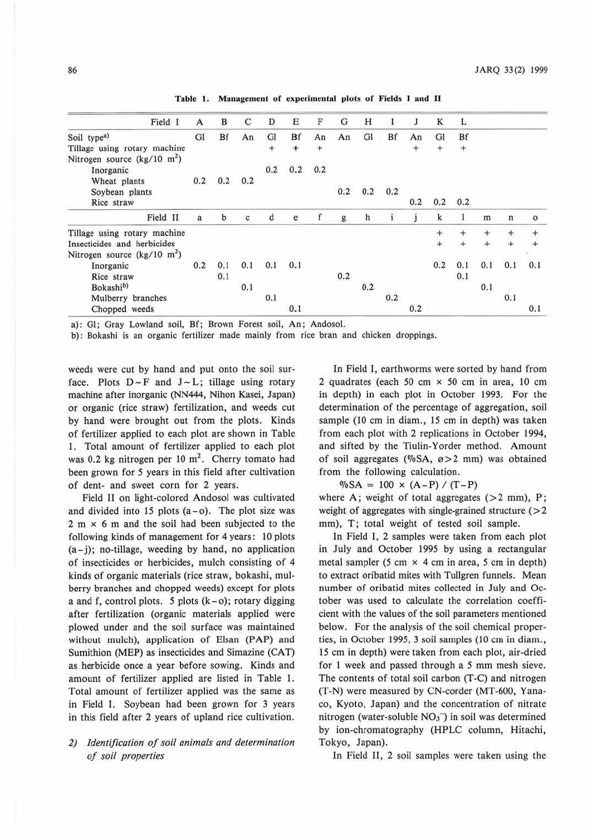| Field 1                                        | A   | в   | C   | D         | Е   | F         | G   | Н   | 1   | J      | K   | L      |     |       |         |
|------------------------------------------------|-----|-----|-----|-----------|-----|-----------|-----|-----|-----|--------|-----|--------|-----|-------|---------|
|                                                |     |     |     |           |     |           |     |     |     |        |     |        |     |       |         |
| Soil type <sup>a)</sup>                        | GI  | Bf  | An  | Gl        | Bf  | An        | An  | GI  | Bf  | An     | GI  | Bf     |     |       |         |
| Tillage using rotary machine                   |     |     |     | $\ddot{}$ | ÷   | $\ddot{}$ |     |     |     | $^{+}$ | ÷   | $^{+}$ |     |       |         |
| Nitrogen source ( $\text{kg}/10 \text{ m}^2$ ) |     |     |     |           |     |           |     |     |     |        |     |        |     |       |         |
| Inorganic                                      |     |     |     | 0.2       | 0.2 | 0.2       |     |     |     |        |     |        |     |       |         |
| Wheat plants                                   | 0.2 | 0.2 | 0.2 |           |     |           |     |     |     |        |     |        |     |       |         |
| Soybean plants                                 |     |     |     |           |     |           | 0.2 | 0.2 | 0.2 |        |     |        |     |       |         |
| Rice straw                                     |     |     |     |           |     |           |     |     |     | 0.2    | 0.2 | 0.2    |     |       |         |
| Field II                                       | a   | b   | c   | d         | e   |           | g   | h   |     |        |     |        | m   | n     | $\circ$ |
| Tillage using rotary machine                   |     |     |     |           |     |           |     |     |     |        | +   |        |     | $\pm$ |         |
| Insecticides and herbicides                    |     |     |     |           |     |           |     |     |     |        |     |        |     |       |         |
| Nitrogen source ( $\text{kg}/10 \text{ m}^2$ ) |     |     |     |           |     |           |     |     |     |        |     |        |     |       |         |
| Inorganic                                      | 0.2 | 0.1 | 0.1 | 0.1       | 0.1 |           |     |     |     |        | 0.2 | 0.1    | 0.1 | 0.1   | 0.1     |
| Rice straw                                     |     | 0.1 |     |           |     |           | 0.2 |     |     |        |     | 0.1    |     |       |         |
| Bokashi <sup>b)</sup>                          |     |     | 0.1 |           |     |           |     | 0.2 |     |        |     |        | 0.1 |       |         |
| Mulberry branches                              |     |     |     | 0.1       |     |           |     |     | 0.2 |        |     |        |     | 0.1   |         |
| Chopped weeds                                  |     |     |     |           | 0.1 |           |     |     |     | 0.2    |     |        |     |       | 0.1     |

Table I. Management of experimental plots of Fields I and II

a): Gl; Gray Lowland soil, Bf; Brown Forest soil, An; Andosol.

b): Bokashi is an organic fertilizer made mainly from rice bran and chicken droppings.

weeds were cut by hand and put onto the soil surface. Plots  $D \sim F$  and  $J \sim L$ ; tillage using rotary machine after inorganic (NN444, Nihon Kasei, Japan) or organic (rice straw) fertilization, and weeds cut by hand were brought out from the plots. Kinds of fertilizer applied to each plot are shown in Table I. Total amount of fertilizer applied to each plot was 0.2 kg nitrogen per 10  $m<sup>2</sup>$ . Cherry tomato had been grown for *5* years in this field after cultivation of dent- and sweet corn for 2 years.

Field Il on light-colored Andosol was cultivated and divided into 15 plots (a-o). The plot size was  $2 m \times 6 m$  and the soil had been subjected to the following kinds of management for 4 years: IO plots  $(a - j)$ ; no-tillage, weeding by hand, no application of insecticides or herbicides, mulch consisting of 4 kinds of organic materials (rice straw, bokashi, mulberry branches and chopped weeds) except for plots a and f, control plots. *5* plots (k-o); rotary digging after fertilization (organic materials applied were plowed under and the soil surface was maintained without mulch), application of Elsan (PAP) and Sumithion (MEP) as insecticides and Simazine (CAT) as herbicide once a year before sowing. Kinds and amount of fertilizer applied are listed in Table I. Total amount of fertilizer applied was the same as in Field I. Soybean had been grown for 3 years in this field after 2 years of upland rice cultivation.

# *2) Identification of soil animals and determination of soil properties*

In Field I, earthworms were sorted by hand from 2 quadrates (each 50 cm x 50 cm in area, 10 cm in depth) in each plot in October 1993. For the determination of the percentage of aggregation, soil sample (10 cm in diam., 15 cm in depth) was taken from each plot with 2 replications in October 1994, and sifted by the Tiulin-Yorder method. Amount of soil aggregates (%SA,  $\varnothing > 2$  mm) was obtained from the following calculation.

 $\%SA = 100 \times (A-P) / (T-P)$ 

where A; weight of total aggregates  $(>2$  mm), P; weight of aggregates with single-grained structure  $($  > 2 mm), T; total weight of tested soil sample.

In Field I, 2 samples were taken from each plot in July and October 1995 by using a rectangular metal sampler (5 cm x 4 cm in area, *5* cm in depth) to extract oribatid mites with Tullgren funnels. Mean number of oribatid mites collected in July and October was used to calculate the correlation coefficient with the values of the soil parameters mentioned below. For the analysis of the soil chemical properties, in October 1995, 3 soil samples (10 cm in diam., 15 cm in depth) were taken from each plot, air-dried for I week and passed through a *5* mm mesh sieve. The contents of total soil carbon (T-C) and nitrogen (T-N) were measured by CN-corder (MT-600, Yanaco, Kyoto, Japan) and the concentration of nitrate nitrogen (water-soluble  $NO<sub>3</sub>$ ) in soil was determined by ion-chromatography (HPLC column, Hitachi, Tokyo, Japan).

In Field II, 2 soil samples were taken using the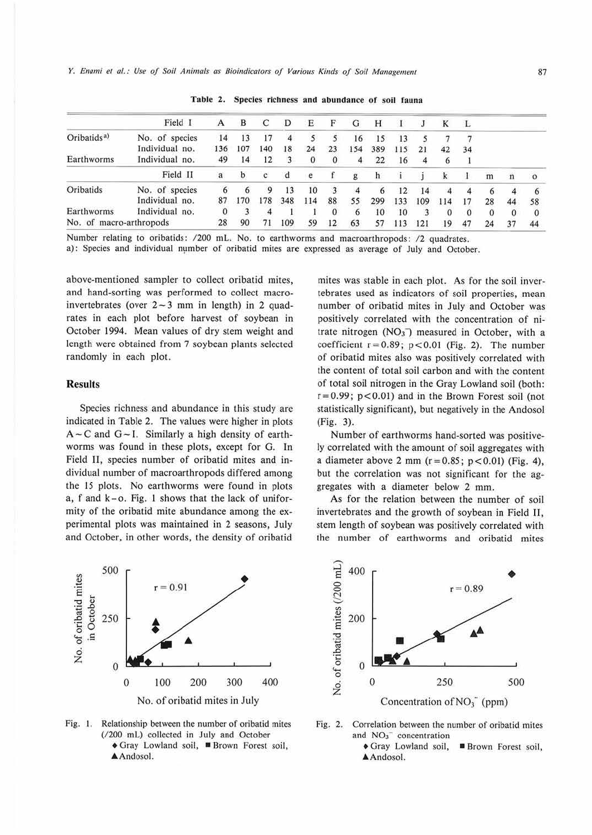*Y. Enami et al.: Use of Soil Animals as Bioindicators of Various Kinds of Soil Management* 677

|                         | Field I        | A   | в   | C   | D   | Е   | F            | G   | н   |     |     | К   | Ŀ  |    |          |         |
|-------------------------|----------------|-----|-----|-----|-----|-----|--------------|-----|-----|-----|-----|-----|----|----|----------|---------|
| Oribatids <sup>a)</sup> | No. of species | 14  | 13  | 17  | 4   |     |              | 16  | 15  | 13  |     |     |    |    |          |         |
|                         | Individual no. | 136 | 107 | 140 | 18  | 24  | 23           | 154 | 389 | 115 | 21  | 42  | 34 |    |          |         |
| Earthworms              | Individual no. | 49  | 14  | 12  |     | 0   | $\mathbf{0}$ | 4   | 22  | 16  |     |     |    |    |          |         |
|                         | Field II       | a   | b   | c   | đ   | e   |              | g   | h   |     |     |     |    | m  | n        | $\circ$ |
| Oribatids               | No. of species | 6   | 6   | 9   | 13  | 10  | 3            | 4   | 6   | 12  | 14  | Δ   | 4  | 6  |          |         |
|                         | Individual no. | 87  | 170 | 178 | 348 | 114 | 88           | 55  | 299 | 133 | 109 | 114 | 17 | 28 | 44       | 58      |
| Earthworms              | Individual no. | 0   |     |     |     |     |              | 6   | 10  | 10  |     |     |    | 0  | $\Omega$ |         |
| No. of macro-arthropods |                | 28  | 90  | 71  | 109 | 59  | 12           | 63  | 57  | 113 | 121 | 19  | 47 | 24 | 37       | 44      |

Table 2. Species richness and abundance of soil fauna

Number relating to oribatids: /200 mL. No. to earthworms and macroarthropods: /2 quadrates.

a): Species and individual number of oribatid mites are expressed as average of July and October.

above-mentioned sampler to collect oribatid mites, and hand-sorting was performed to collect macroinvertebrates (over  $2-3$  mm in length) in 2 quadrates in each plot before harvest of soybean in October 1994. Mean values of dry stem weight and length were obtained from 7 soybean plants selected randomly in each plot.

### **Results**

Species richness and abundance in this study are indicated in Table 2. The values were higher in plots  $A - C$  and  $G - I$ . Similarly a high density of earthworms was found in these plots, except for G. In Field II, species number of oribatid mites and individual number of macroarthropods differed among the 15 plots. No earthworms were found in plots a, f and k-o. Fig. 1 shows that the lack of uniformity of the oribatid mite abundance among the experimental plots was maintained in 2 seasons, July and October, in other words, the density of oribatid

mites was stable in each plot. As for the soil invertebrates used as indicators of soil properties, mean number of oribatid mites in July and October was positively correlated with the concentration of nitrate nitrogen  $(NO<sub>3</sub>^-)$  measured in October, with a coefficient  $r = 0.89$ ;  $p < 0.01$  (Fig. 2). The number of oribatid mites also was positively correlated with the content of total soil carbon and with the content of total soil nitrogen in the Gray Lowland soil (both:  $r=0.99$ ;  $p<0.01$ ) and in the Brown Forest soil (not statistically significant), but negatively in the Andosol (Fig. 3).

Number of earthworms hand-sorted was positively correlated with the amount of soil aggregates with a diameter above 2 mm ( $r = 0.85$ ;  $p < 0.01$ ) (Fig. 4), but the correlation was not significant for the aggregates with a diameter below 2 mm.

As for the relation between the number of soil invertebrates and the growth of soybean in Field II, stem length of soybean was positively correlated with the number of earthworms and oribatid mites



**Fig.** I. Relationship between the number of oribatid mites (/200 mL) collected in July and October • Gray Lowland soil, • Brown Forest soil, • Andosol.



Fig. 2. Correlation between the number of oribatid mites and  $NO<sub>3</sub>$  concentration

• Gray Lowland soil, **■ Brown Forest soil,** Andosol.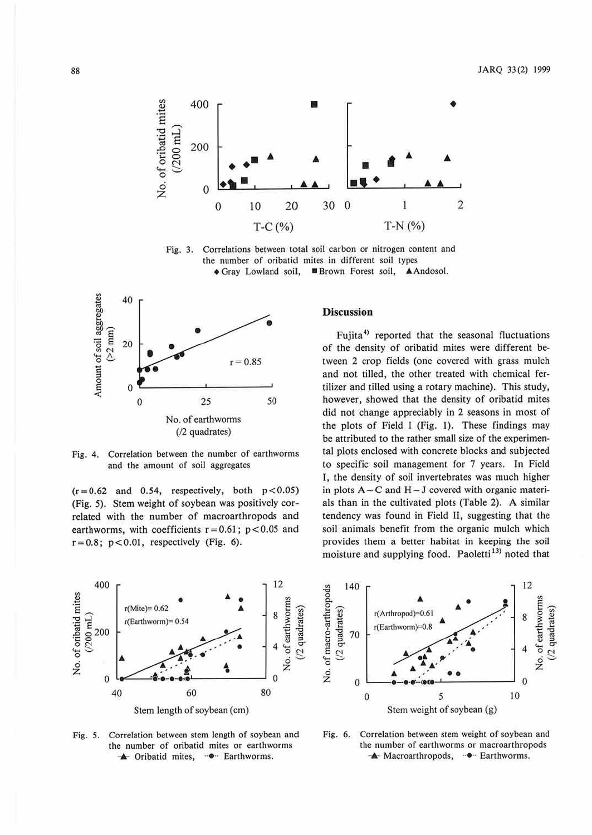

**Fig.** 3. Correlations between total soil carbon or nitrogen content and the number of oribatid mites in different soil types • Gray Lowland soil, • Brown Forest soil, &Andosol.



Fig. 4. Correlation between the number of earthworms and the amouni of soil aggregates

 $(r=0.62$  and 0.54, respectively, both  $p < 0.05$ ) (Fig. 5). Stem weight of soybean was positively correlated with the number of macroarthropods and earthworms, with coefficients  $r = 0.61$ ;  $p < 0.05$  and  $r = 0.8$ ;  $p < 0.01$ , respectively (Fig. 6).



Fujita<sup>4)</sup> reported that the seasonal fluctuations of the density of oribatid mites were different between 2 crop fields (one covered with grass mulch and not tilled, the other treated with chemical fertilizer and tilled using a rotary machine). This study, however, showed that the density of oribatid mites did not change appreciably in 2 seasons in most of the plots of Field I (Fig. **1).** These findings may be attributed to the rather small size of the experimental plots enclosed with concrete blocks and subjected to specific soil management for 7 years. In Field I, the density of soil invertebrates was much higher in plots  $A \sim C$  and  $H \sim J$  covered with organic materials than in the cultivated plots (Table 2). A similar tendency was found in Field II, suggesting that the soil animals benefit from the organic mulch which provides them a better habitat in keeping the soil moisture and supplying food. Paoletti<sup>13)</sup> noted that



Fig. *5.* Correlation between stem length of soybean and the number of oribatid mites or earthworms A Oribatid mites,  $\cdot \bullet \cdot$  Earthworms.



Fig. 6. Correlation between stem weight of soybean and the number of earthworms or macroarthropods A Macroarthropods, <sup>-•</sup> Earthworms.